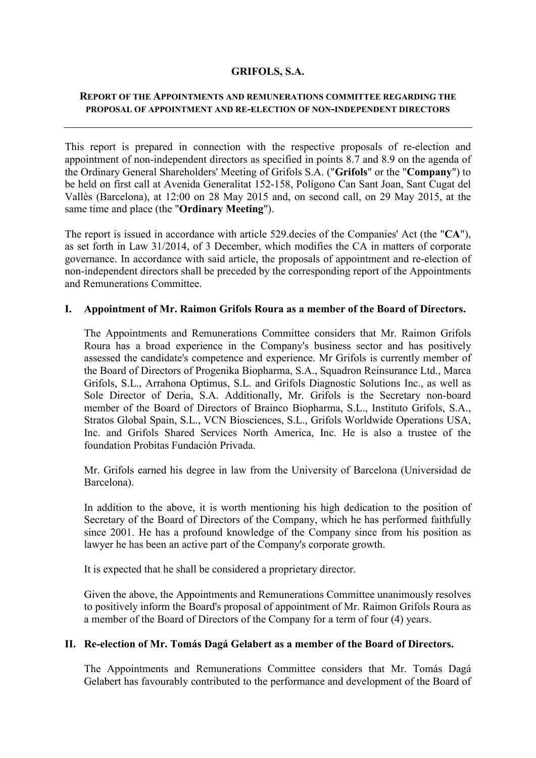## **GRIFOLS, S.A.**

## **REPORT OF THE APPOINTMENTS AND REMUNERATIONS COMMITTEE REGARDING THE PROPOSAL OF APPOINTMENT AND RE-ELECTION OF NON-INDEPENDENT DIRECTORS**

This report is prepared in connection with the respective proposals of re-election and appointment of non-independent directors as specified in points 8.7 and 8.9 on the agenda of the Ordinary General Shareholders' Meeting of Grifols S.A. ("**Grifols**" or the "**Company**") to be held on first call at Avenida Generalitat 152-158, Polígono Can Sant Joan, Sant Cugat del Vallès (Barcelona), at 12:00 on 28 May 2015 and, on second call, on 29 May 2015, at the same time and place (the "**Ordinary Meeting**").

The report is issued in accordance with article 529.decies of the Companies' Act (the "**CA**"), as set forth in Law 31/2014, of 3 December, which modifies the CA in matters of corporate governance. In accordance with said article, the proposals of appointment and re-election of non-independent directors shall be preceded by the corresponding report of the Appointments and Remunerations Committee.

## **I. Appointment of Mr. Raimon Grifols Roura as a member of the Board of Directors.**

The Appointments and Remunerations Committee considers that Mr. Raimon Grifols Roura has a broad experience in the Company's business sector and has positively assessed the candidate's competence and experience. Mr Grifols is currently member of the Board of Directors of Progenika Biopharma, S.A., Squadron Reinsurance Ltd., Marca Grifols, S.L., Arrahona Optimus, S.L. and Grifols Diagnostic Solutions Inc., as well as Sole Director of Deria, S.A. Additionally, Mr. Grifols is the Secretary non-board member of the Board of Directors of Brainco Biopharma, S.L., Instituto Grifols, S.A., Stratos Global Spain, S.L., VCN Biosciences, S.L., Grifols Worldwide Operations USA, Inc. and Grifols Shared Services North America, Inc. He is also a trustee of the foundation Probitas Fundación Privada.

Mr. Grifols earned his degree in law from the University of Barcelona (Universidad de Barcelona).

In addition to the above, it is worth mentioning his high dedication to the position of Secretary of the Board of Directors of the Company, which he has performed faithfully since 2001. He has a profound knowledge of the Company since from his position as lawyer he has been an active part of the Company's corporate growth.

It is expected that he shall be considered a proprietary director.

Given the above, the Appointments and Remunerations Committee unanimously resolves to positively inform the Board's proposal of appointment of Mr. Raimon Grifols Roura as a member of the Board of Directors of the Company for a term of four (4) years.

## **II. Re-election of Mr. Tomás Dagá Gelabert as a member of the Board of Directors.**

The Appointments and Remunerations Committee considers that Mr. Tomás Dagá Gelabert has favourably contributed to the performance and development of the Board of